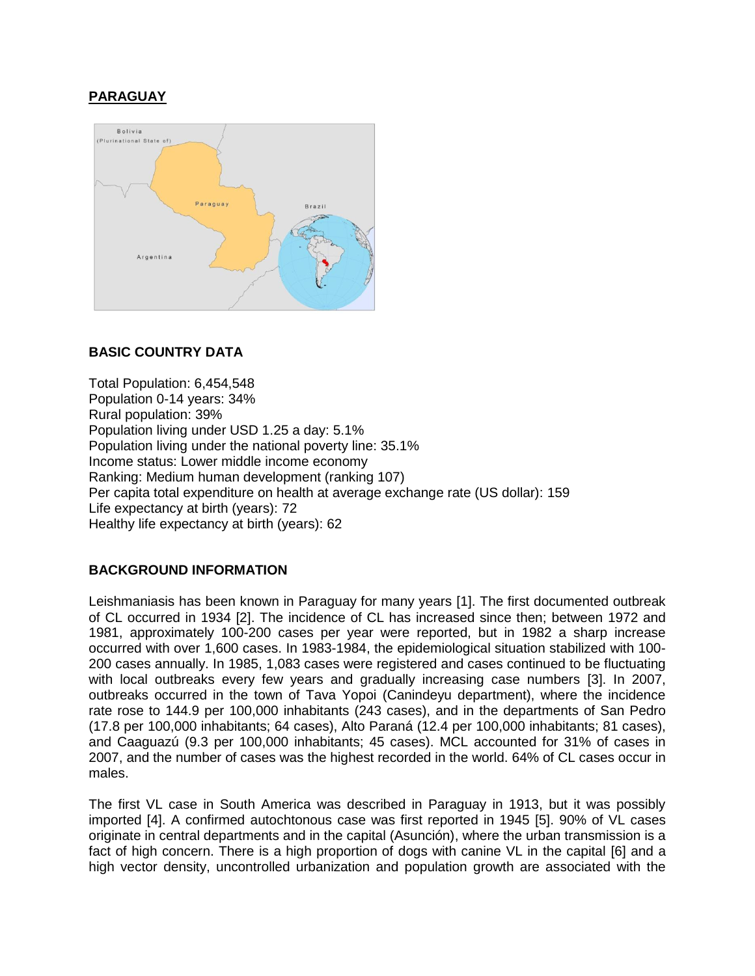# **PARAGUAY**



# **BASIC COUNTRY DATA**

Total Population: 6,454,548 Population 0-14 years: 34% Rural population: 39% Population living under USD 1.25 a day: 5.1% Population living under the national poverty line: 35.1% Income status: Lower middle income economy Ranking: Medium human development (ranking 107) Per capita total expenditure on health at average exchange rate (US dollar): 159 Life expectancy at birth (years): 72 Healthy life expectancy at birth (years): 62

# **BACKGROUND INFORMATION**

Leishmaniasis has been known in Paraguay for many years [1]. The first documented outbreak of CL occurred in 1934 [2]. The incidence of CL has increased since then; between 1972 and 1981, approximately 100-200 cases per year were reported, but in 1982 a sharp increase occurred with over 1,600 cases. In 1983-1984, the epidemiological situation stabilized with 100- 200 cases annually. In 1985, 1,083 cases were registered and cases continued to be fluctuating with local outbreaks every few years and gradually increasing case numbers [3]. In 2007, outbreaks occurred in the town of Tava Yopoi (Canindeyu department), where the incidence rate rose to 144.9 per 100,000 inhabitants (243 cases), and in the departments of San Pedro (17.8 per 100,000 inhabitants; 64 cases), Alto Paraná (12.4 per 100,000 inhabitants; 81 cases), and Caaguazú (9.3 per 100,000 inhabitants; 45 cases). MCL accounted for 31% of cases in 2007, and the number of cases was the highest recorded in the world. 64% of CL cases occur in males.

The first VL case in South America was described in Paraguay in 1913, but it was possibly imported [4]. A confirmed autochtonous case was first reported in 1945 [5]. 90% of VL cases originate in central departments and in the capital (Asunción), where the urban transmission is a fact of high concern. There is a high proportion of dogs with canine VL in the capital [6] and a high vector density, uncontrolled urbanization and population growth are associated with the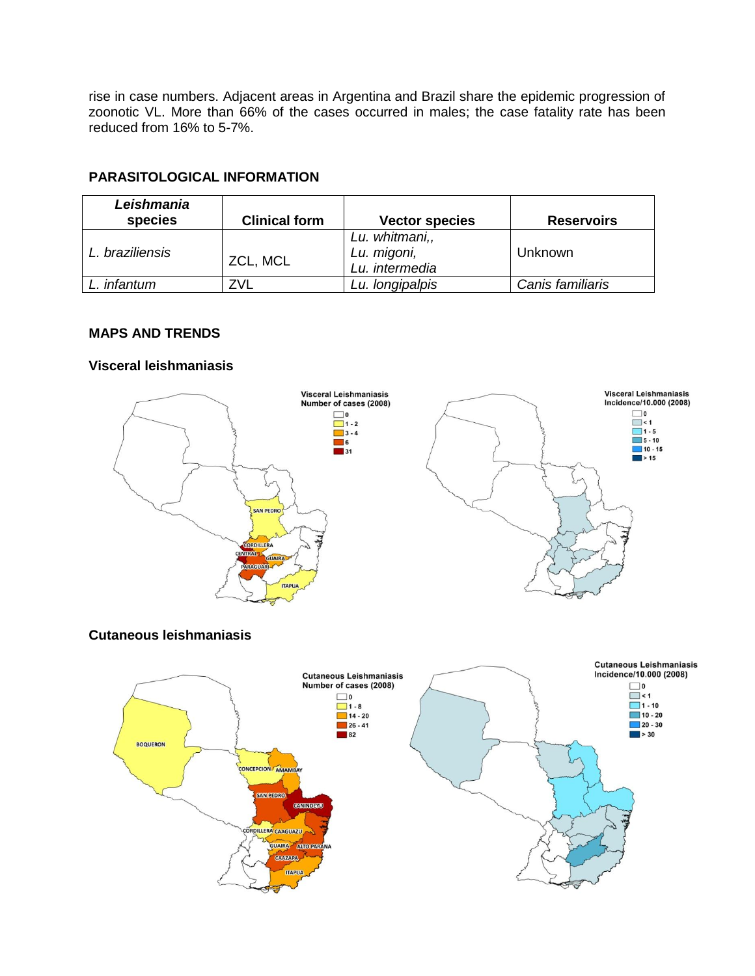rise in case numbers. Adjacent areas in Argentina and Brazil share the epidemic progression of zoonotic VL. More than 66% of the cases occurred in males; the case fatality rate has been reduced from 16% to 5-7%.

# **PARASITOLOGICAL INFORMATION**

| Leishmania<br>species | <b>Clinical form</b> | <b>Vector species</b>                           | <b>Reservoirs</b> |
|-----------------------|----------------------|-------------------------------------------------|-------------------|
| L. braziliensis       | ZCL, MCL             | Lu. whitmani,,<br>Lu. migoni,<br>Lu. intermedia | Unknown           |
| infantum              |                      | Lu. longipalpis                                 | Canis familiaris  |

# **MAPS AND TRENDS**

### **Visceral leishmaniasis**



# **Cutaneous leishmaniasis**

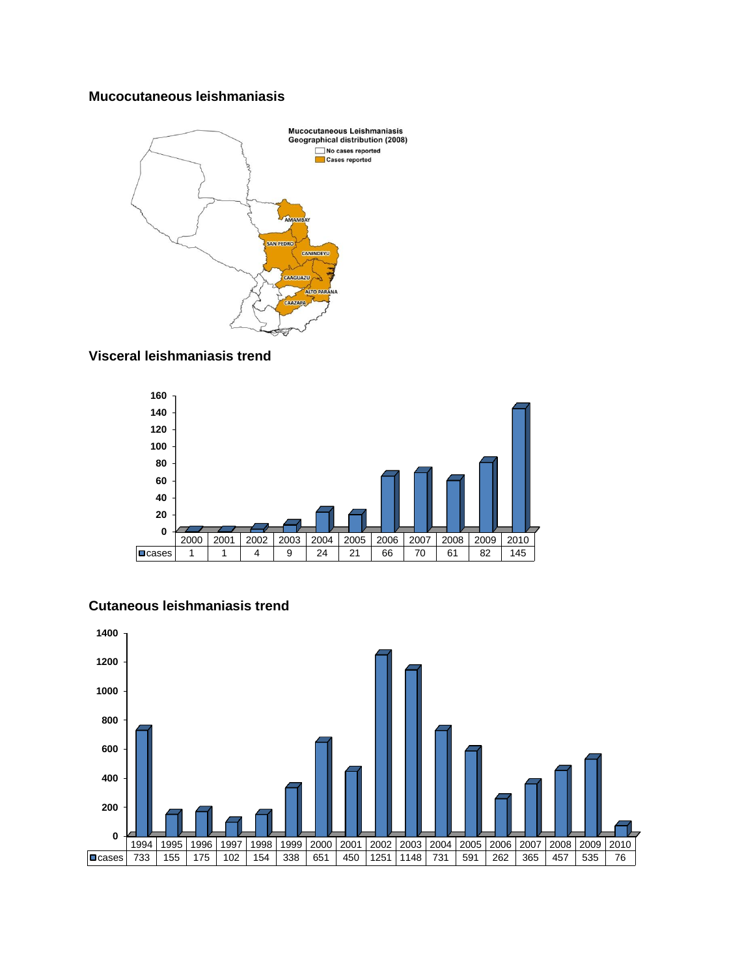## **Mucocutaneous leishmaniasis**



### **Visceral leishmaniasis trend**





# **Cutaneous leishmaniasis trend**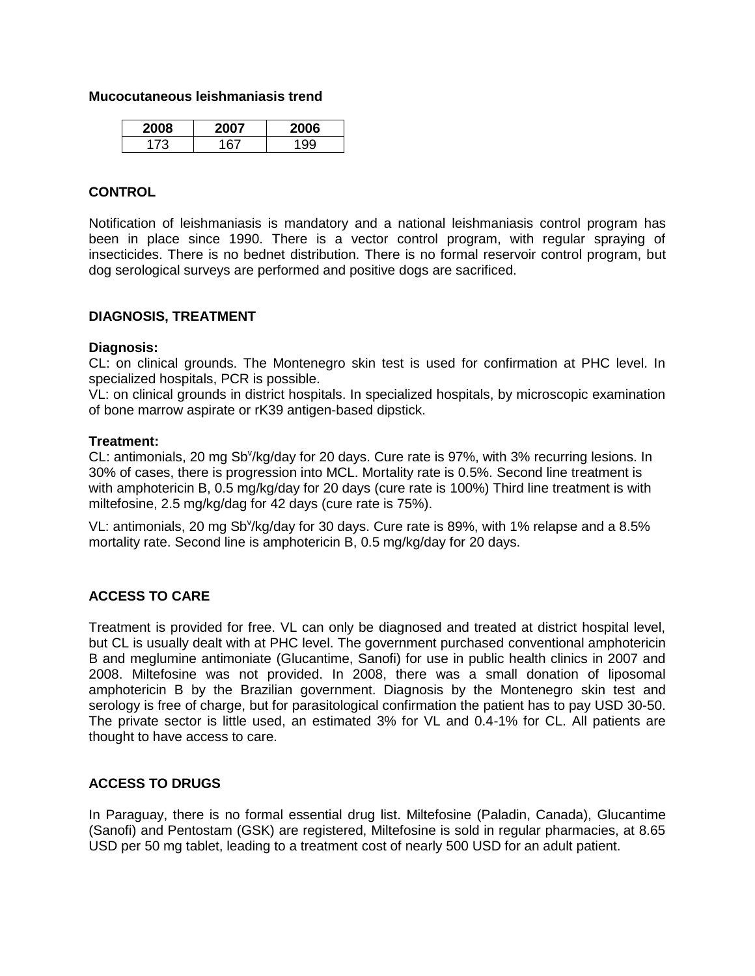#### **Mucocutaneous leishmaniasis trend**

| ገ8 |      | ۱b<br>ZU |
|----|------|----------|
|    | . 63 | ៱៱៱      |

#### **CONTROL**

Notification of leishmaniasis is mandatory and a national leishmaniasis control program has been in place since 1990. There is a vector control program, with regular spraying of insecticides. There is no bednet distribution. There is no formal reservoir control program, but dog serological surveys are performed and positive dogs are sacrificed.

#### **DIAGNOSIS, TREATMENT**

#### **Diagnosis:**

CL: on clinical grounds. The Montenegro skin test is used for confirmation at PHC level. In specialized hospitals, PCR is possible.

VL: on clinical grounds in district hospitals. In specialized hospitals, by microscopic examination of bone marrow aspirate or rK39 antigen-based dipstick.

### **Treatment:**

CL: antimonials, 20 mg Sb<sup>v</sup>/kg/day for 20 days. Cure rate is 97%, with 3% recurring lesions. In 30% of cases, there is progression into MCL. Mortality rate is 0.5%. Second line treatment is with amphotericin B, 0.5 mg/kg/day for 20 days (cure rate is 100%) Third line treatment is with miltefosine, 2.5 mg/kg/dag for 42 days (cure rate is 75%).

VL: antimonials, 20 mg Sb<sup>v</sup>/kg/day for 30 days. Cure rate is 89%, with 1% relapse and a 8.5% mortality rate. Second line is amphotericin B, 0.5 mg/kg/day for 20 days.

# **ACCESS TO CARE**

Treatment is provided for free. VL can only be diagnosed and treated at district hospital level, but CL is usually dealt with at PHC level. The government purchased conventional amphotericin B and meglumine antimoniate (Glucantime, Sanofi) for use in public health clinics in 2007 and 2008. Miltefosine was not provided. In 2008, there was a small donation of liposomal amphotericin B by the Brazilian government. Diagnosis by the Montenegro skin test and serology is free of charge, but for parasitological confirmation the patient has to pay USD 30-50. The private sector is little used, an estimated 3% for VL and 0.4-1% for CL. All patients are thought to have access to care.

# **ACCESS TO DRUGS**

In Paraguay, there is no formal essential drug list. Miltefosine (Paladin, Canada), Glucantime (Sanofi) and Pentostam (GSK) are registered, Miltefosine is sold in regular pharmacies, at 8.65 USD per 50 mg tablet, leading to a treatment cost of nearly 500 USD for an adult patient.